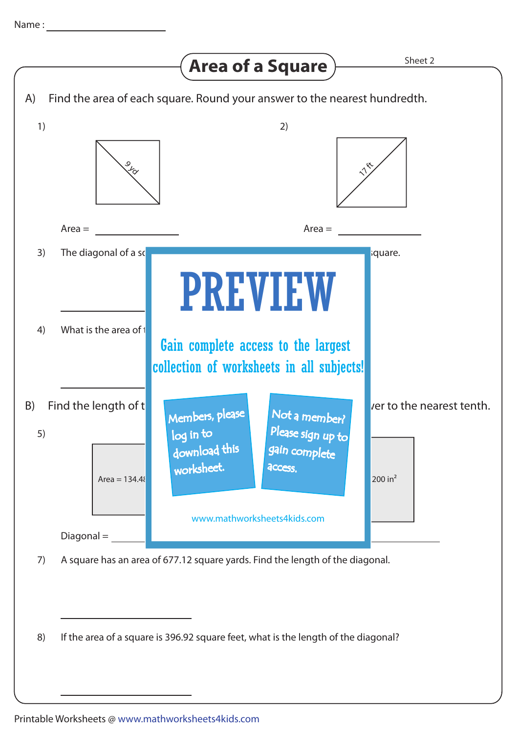